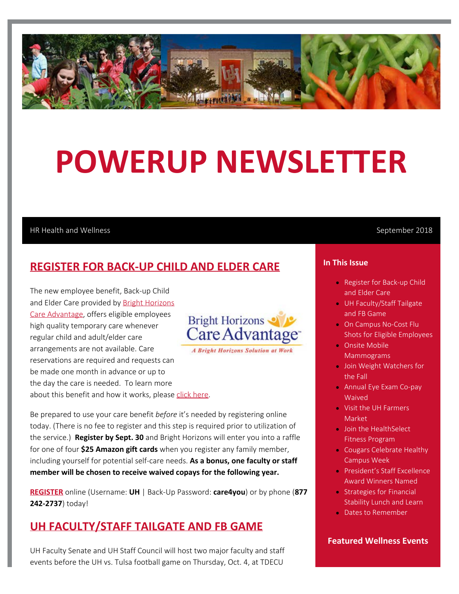

# **POWERUP NEWSLETTER**

### HR Health and Wellness and September 2018

## **REGISTER FOR BACK-UP CHILD AND ELDER CARE**

The new employee benefit, Back-up Child and Elder Care provided by [Bright Horizons](http://www.careadvantage.com/UH) [Care Advantage](http://www.careadvantage.com/UH), offers eligible employees high quality temporary care whenever regular child and adult/elder care arrangements are not available. Care reservations are required and requests can be made one month in advance or up to the day the care is needed. To learn more about this benefit and how it works, please [click here](https://cloudapps.uh.edu/sendit/l/aQWIL5Hvz8MebkJzITqY6A/wQxVVBFBIT37638he8nS6j6g/M14zBIwSvifSsTuVa0GqmQ).



**A Bright Horizons Solution at Work** 

Be prepared to use your care benefit *before* it's needed by registering online today. (There is no fee to register and this step is required prior to utilization of the service.) **Register by Sept. 30** and Bright Horizons will enter you into a raffle for one of four **\$25 Amazon gift cards** when you register any family member, including yourself for potential self-care needs. **As a bonus, one faculty or staff member will be chosen to receive waived copays for the following year.**

**[REGISTER](https://www.careadvantage.com/UH)** online (Username: **UH** | Back-Up Password: **care4you**) or by phone (**877 242-2737**) today!

## **UH FACULTY/STAFF TAILGATE AND FB GAME**

UH Faculty Senate and UH Staff Council will host two major faculty and staff events before the UH vs. Tulsa football game on Thursday, Oct. 4, at TDECU

## **In This Issue**

- **Register for Back-up Child** and Elder Care
- UH Faculty/Staff Tailgate and FB Game
- On Campus No-Cost Flu Shots for Eligible Employees
- Onsite Mobile **Mammograms**
- **Join Weight Watchers for** the Fall
- Annual Eye Exam Co-pay Waived
- Visit the UH Farmers Market
- Join the HealthSelect Fitness Program
- Cougars Celebrate Healthy Campus Week
- President's Staff Excellence Award Winners Named
- **Strategies for Financial** Stability Lunch and Learn
- Dates to Remember

## **Featured Wellness Events**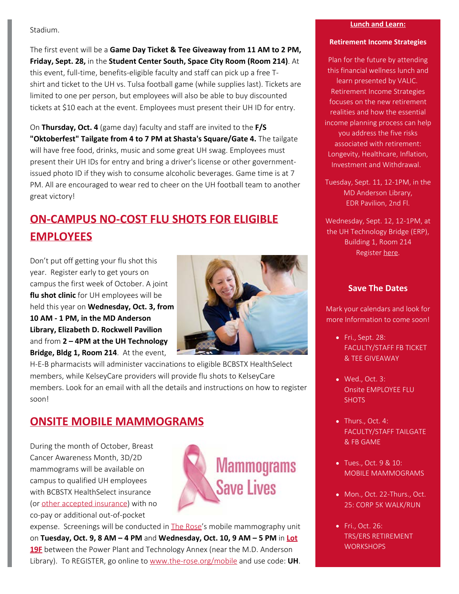## Stadium.

The first event will be a **Game Day Ticket & Tee Giveaway from 11 AM to 2 PM, Friday, Sept. 28,** in the **Student Center South, Space City Room (Room 214)**. At this event, full-time, benefits-eligible faculty and staff can pick up a free Tshirt and ticket to the UH vs. Tulsa football game (while supplies last). Tickets are limited to one per person, but employees will also be able to buy discounted tickets at \$10 each at the event. Employees must present their UH ID for entry.

On **Thursday, Oct. 4** (game day) faculty and staff are invited to the **F/S "Oktoberfest" Tailgate from 4 to 7 PM at Shasta's Square/Gate 4.** The tailgate will have free food, drinks, music and some great UH swag. Employees must present their UH IDs for entry and bring a driver's license or other governmentissued photo ID if they wish to consume alcoholic beverages. Game time is at 7 PM. All are encouraged to wear red to cheer on the UH football team to another great victory!

# **ON-CAMPUS NO-COST FLU SHOTS FOR ELIGIBLE EMPLOYEES**

Don't put off getting your flu shot this year. Register early to get yours on campus the first week of October. A joint **flu shot clinic** for UH employees will be held this year on **Wednesday, Oct. 3, from 10 AM - 1 PM, in the MD Anderson Library, Elizabeth D. Rockwell Pavilion** and from **2 – 4PM at the UH Technology Bridge, Bldg 1, Room 214**. At the event,



H-E-B pharmacists will administer vaccinations to eligible BCBSTX HealthSelect members, while KelseyCare providers will provide flu shots to KelseyCare members. Look for an email with all the details and instructions on how to register soon!

## **ONSITE MOBILE MAMMOGRAMS**

During the month of October, Breast Cancer Awareness Month, 3D/2D mammograms will be available on campus to qualified UH employees with BCBSTX HealthSelect insurance (or [other accepted insurance](http://www.therose.org/services/insurance-plans/)) with no co-pay or additional out-of-pocket



expense. Screenings will be conducted in [The Rose](https://www.therose.org/)'s mobile mammography unit on **Tuesday, Oct. 9, 8 AM – 4 PM** and **Wednesday, Oct. 10, 9 AM – 5 PM** in **[Lot](http://uhhelpdesk.custhelp.com/rd?1=AvNw~wo4Dv8S~xb~Gv9m~yJCDnkqaIX7RcBw2j7~Pv_5&2=38454) [19F](http://uhhelpdesk.custhelp.com/rd?1=AvNw~wo4Dv8S~xb~Gv9m~yJCDnkqaIX7RcBw2j7~Pv_5&2=38454)** between the Power Plant and Technology Annex (near the M.D. Anderson Library). To REGISTER, go online to [www.the-rose.org/mobile](http://www.the-rose.org/mobile) and use code: **UH**.

#### **Lunch and Learn:**

#### **Retirement Income Strategies**

Plan for the future by attending this financial wellness lunch and learn presented by VALIC. Retirement Income Strategies focuses on the new retirement realities and how the essential income planning process can help you address the five risks associated with retirement: Longevity, Healthcare, Inflation, Investment and Withdrawal.

Tuesday, Sept. 11, 12-1PM, in the MD Anderson Library, EDR Pavilion, 2nd Fl.

Wednesday, Sept. 12, 12-1PM, at the UH Technology Bridge (ERP), Building 1, Room 214 Register [here](http://www.uh.edu/human-resources/PowerUP-Wellness/PowerUP%20Lunch%20%20Learns/).

## **Save The Dates**

Mark your calendars and look for more Information to come soon!

- Fri., Sept. 28: FACULTY/STAFF FB TICKET & TEE GIVEAWAY
- Wed., Oct. 3: Onsite EMPLOYEE FLU **SHOTS**
- Thurs., Oct. 4: FACULTY/STAFF TAILGATE & FB GAME
- Tues., Oct. 9 & 10: MOBILE MAMMOGRAMS
- Mon., Oct. 22-Thurs., Oct. 25: CORP 5K WALK/RUN
- Fri., Oct. 26: TRS/ERS RETIREMENT **WORKSHOPS**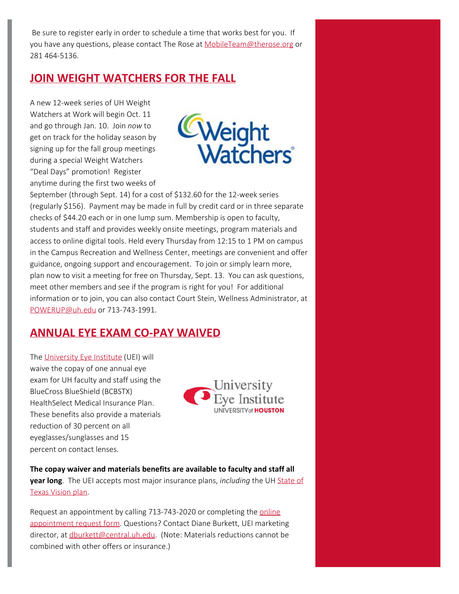Be sure to register early in order to schedule a time that works best for you. If you have any questions, please contact The Rose at [MobileTeam@therose.org](mailto:MobileTeam@therose.org) or 281 464-5136.

## **JOIN WEIGHT WATCHERS FOR THE FALL**

A new 12-week series of UH Weight Watchers at Work will begin Oct. 11 and go through Jan. 10. Join *now* to get on track for the holiday season by signing up for the fall group meetings during a special Weight Watchers "Deal Days" promotion! Register anytime during the first two weeks of



September (through Sept. 14) for a cost of \$132.60 for the 12-week series (regularly \$156). Payment may be made in full by credit card or in three separate checks of \$44.20 each or in one lump sum. Membership is open to faculty, students and staff and provides weekly onsite meetings, program materials and access to online digital tools. Held every Thursday from 12:15 to 1 PM on campus in the Campus Recreation and Wellness Center, meetings are convenient and offer guidance, ongoing support and encouragement. To join or simply learn more, plan now to visit a meeting for free on Thursday, Sept. 13. You can ask questions, meet other members and see if the program is right for you! For additional information or to join, you can also contact Court Stein, Wellness Administrator, at [POWERUP@uh.edu](mailto:POWERUP@uh.edu) or 713-743-1991.

## **ANNUAL EYE EXAM CO-PAY WAIVED**

The [University Eye Institute](https://www.opt.uh.edu/patient-care/uei/) (UEI) will waive the copay of one annual eye exam for UH faculty and staff using the BlueCross BlueShield (BCBSTX) HealthSelect Medical Insurance Plan. These benefits also provide a materials reduction of 30 percent on all eyeglasses/sunglasses and 15 percent on contact lenses.



**The copay waiver and materials benefits are available to faculty and staff all year long**. The UEI accepts most major insurance plans, *including* the UH [State of](https://www.superiorvision.com/StateOfTexasVision) [Texas Vision plan](https://www.superiorvision.com/StateOfTexasVision).

Request an appointment by calling 713-743-2020 or completing the [online](https://www.opt.uh.edu/patient-care/uei/appointments/) [appointment request form](https://www.opt.uh.edu/patient-care/uei/appointments/). Questions? Contact Diane Burkett, UEI marketing director, at [dburkett@central.uh.edu](mailto:dburkett@central.uh.edu). (Note: Materials reductions cannot be combined with other offers or insurance.)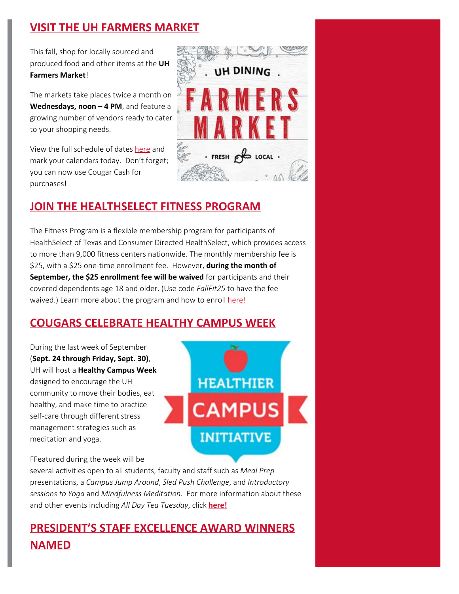# **VISIT THE UH FARMERS MARKET**

This fall, shop for locally sourced and produced food and other items at the **UH Farmers Market**!

The markets take places twice a month on **Wednesdays, noon – 4 PM**, and feature a growing number of vendors ready to cater to your shopping needs.

View the full schedule of dates [here](https://dineoncampus.com/uh/uh-farmers-market) and mark your calendars today. Don't forget; you can now use Cougar Cash for purchases!

# **JOIN THE HEALTHSELECT FITNESS PROGRAM**

The Fitness Program is a flexible membership program for participants of HealthSelect of Texas and Consumer Directed HealthSelect, which provides access to more than 9,000 fitness centers nationwide. The monthly membership fee is \$25, with a \$25 one-time enrollment fee. However, **during the month of September, the \$25 enrollment fee will be waived** for participants and their covered dependents age 18 and older. (Use code *FallFit25* to have the fee waived.) Learn more about the program and how to enroll [here!](https://www.ers.texas.gov/Coordinators/Update-Express/No-enrollment-fee!-Pass-it-on!)

## **COUGARS CELEBRATE HEALTHY CAMPUS WEEK**

During the last week of September (**Sept. 24 through Friday, Sept. 30)**, UH will host a **Healthy Campus Week** designed to encourage the UH community to move their bodies, eat healthy, and make time to practice self-care through different stress management strategies such as meditation and yoga.



**UH DINING** 

 $\cdot$  FRESH  $\mathcal{B}$  LOCAL  $\cdot$ 

FFeatured during the week will be

several activities open to all students, faculty and staff such as *Meal Prep* presentations, a *Campus Jump Around*, *Sled Push Challenge*, and *Introductory sessions to Yoga* and *Mindfulness Meditation*. For more information about these and other events including *All Day Tea Tuesday*, click **[here!](http://www.uh.edu/recreation/fitness/healthyweek.html)**

# **PRESIDENT'S STAFF EXCELLENCE AWARD WINNERS NAMED**